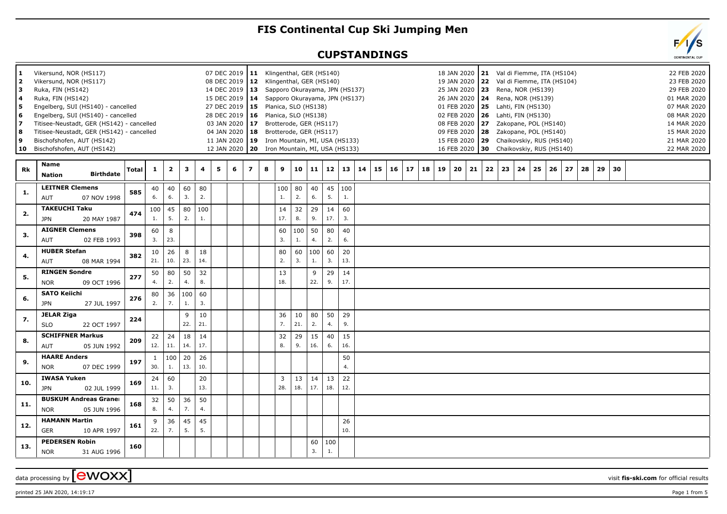## **FIS Continental Cup Ski Jumping Men**

## **CUPSTANDINGS**

| 1.<br>2<br>з<br>4<br>5<br>6<br>7<br>8 | Vikersund, NOR (HS117)<br>Vikersund, NOR (HS117)<br>Ruka, FIN (HS142)<br>Ruka, FIN (HS142)<br>Engelberg, SUI (HS140) - cancelled<br>Engelberg, SUI (HS140) - cancelled<br>Titisee-Neustadt, GER (HS142) - cancelled<br>Titisee-Neustadt, GER (HS142) - cancelled |              |              |                         |           |           |   | 03 JAN 2020 | 14 DEC 2019   13<br>27 DEC 2019   15<br>04 JAN 2020 18 | 07 DEC 2019   11 Klingenthal, GER (HS140)<br>08 DEC 2019   12 Klingenthal, GER (HS140)<br>15 DEC 2019   14 Sapporo Okurayama, JPN (HS137)<br>Planica, SLO (HS138)<br>28 DEC 2019   16  Planica, SLO (HS138)<br>17 Brotterode, GER (HS117)<br>Brotterode, GER (HS117) |                       | Sapporo Okurayama, JPN (HS137) |           |                   |                     |    |    |    |    |    |    |    | 18 JAN 2020   21 Val di Fiemme, ITA (HS104)<br>19 JAN 2020   22 Val di Fiemme, ITA (HS104)<br>25 JAN 2020 23<br>26 JAN 2020   24<br>01 FEB 2020   25 Lahti, FIN (HS130)<br>02 FEB 2020 26<br>08 FEB 2020 27<br>09 FEB 2020 28 |    |    | Rena, NOR (HS139)<br>Rena, NOR (HS139)<br>Lahti, FIN (HS130) |    | Zakopane, POL (HS140)<br>Zakopane, POL (HS140) |    |    |    |    |  | 22 FEB 2020<br>23 FEB 2020<br>29 FEB 2020<br>01 MAR 2020<br>07 MAR 2020<br>08 MAR 2020<br>14 MAR 2020<br>15 MAR 2020 |  |
|---------------------------------------|------------------------------------------------------------------------------------------------------------------------------------------------------------------------------------------------------------------------------------------------------------------|--------------|--------------|-------------------------|-----------|-----------|---|-------------|--------------------------------------------------------|----------------------------------------------------------------------------------------------------------------------------------------------------------------------------------------------------------------------------------------------------------------------|-----------------------|--------------------------------|-----------|-------------------|---------------------|----|----|----|----|----|----|----|-------------------------------------------------------------------------------------------------------------------------------------------------------------------------------------------------------------------------------|----|----|--------------------------------------------------------------|----|------------------------------------------------|----|----|----|----|--|----------------------------------------------------------------------------------------------------------------------|--|
| 9                                     | Bischofshofen, AUT (HS142)<br>10 Bischofshofen, AUT (HS142)                                                                                                                                                                                                      |              |              |                         |           |           |   | 12 JAN 2020 |                                                        | 11 JAN 2020 19 Iron Mountain, MI, USA (HS133)<br>20 Iron Mountain, MI, USA (HS133)                                                                                                                                                                                   |                       |                                |           |                   |                     |    |    |    |    |    |    |    | 15 FEB 2020   29 Chaikovskiy, RUS (HS140)<br>16 FEB 2020 30 Chaikovskiy, RUS (HS140)                                                                                                                                          |    |    |                                                              |    |                                                |    |    |    |    |  | 21 MAR 2020<br>22 MAR 2020                                                                                           |  |
| Rk                                    | <b>Name</b><br><b>Birthdate</b><br><b>Nation</b>                                                                                                                                                                                                                 | <b>Total</b> | $\mathbf{1}$ | $\overline{\mathbf{2}}$ | 3         | 4         | 5 | 6           | $\overline{ }$                                         | 8                                                                                                                                                                                                                                                                    | 9                     | 10                             |           | $11 \mid 12 \mid$ | 13                  | 14 | 15 | 16 | 17 | 18 | 19 | 20 | 21                                                                                                                                                                                                                            | 22 | 23 | 24                                                           | 25 | 26                                             | 27 | 28 | 29 | 30 |  |                                                                                                                      |  |
| 1.                                    | <b>LEITNER Clemens</b><br>AUT<br>07 NOV 1998                                                                                                                                                                                                                     | 585          | 40<br>6.     | 40<br>6.                | 60<br>3.  | 80<br>2.  |   |             |                                                        |                                                                                                                                                                                                                                                                      | 100<br>1.             | 80<br>2.                       | 40<br>6.  | 5.                | $45 \mid 100$<br>1. |    |    |    |    |    |    |    |                                                                                                                                                                                                                               |    |    |                                                              |    |                                                |    |    |    |    |  |                                                                                                                      |  |
| 2.                                    | <b>TAKEUCHI Taku</b><br><b>JPN</b><br>20 MAY 1987                                                                                                                                                                                                                | 474          | 100<br>1.    | 45<br>5.                | 80<br>2.  | 100<br>1. |   |             |                                                        |                                                                                                                                                                                                                                                                      | 14<br>17.             | 32<br>8.                       | 29<br>9.  | 14<br>17.         | 60<br>3.            |    |    |    |    |    |    |    |                                                                                                                                                                                                                               |    |    |                                                              |    |                                                |    |    |    |    |  |                                                                                                                      |  |
| 3.                                    | <b>AIGNER Clemens</b><br>AUT<br>02 FEB 1993                                                                                                                                                                                                                      | 398          | 60<br>3.     | 8<br>23.                |           |           |   |             |                                                        |                                                                                                                                                                                                                                                                      | 60<br>3.              | 100<br>1.                      | 50<br>4.  | 80<br>2.          | 40<br>6.            |    |    |    |    |    |    |    |                                                                                                                                                                                                                               |    |    |                                                              |    |                                                |    |    |    |    |  |                                                                                                                      |  |
| 4.                                    | <b>HUBER Stefan</b><br>AUT<br>08 MAR 1994                                                                                                                                                                                                                        | 382          | 10<br>21.    | 26<br>10.               | 8<br>23.  | 18<br>14. |   |             |                                                        |                                                                                                                                                                                                                                                                      | 80<br>2.              | 60<br>3.                       | 100<br>1. | 60<br>3.          | 20<br>13.           |    |    |    |    |    |    |    |                                                                                                                                                                                                                               |    |    |                                                              |    |                                                |    |    |    |    |  |                                                                                                                      |  |
| 5.                                    | <b>RINGEN Sondre</b><br><b>NOR</b><br>09 OCT 1996                                                                                                                                                                                                                | 277          | 50<br>4.     | 80<br>2.                | 50<br>4.  | 32<br>8.  |   |             |                                                        |                                                                                                                                                                                                                                                                      | 13<br>18.             |                                | 9<br>22.  | 29<br>9.          | 14<br>17.           |    |    |    |    |    |    |    |                                                                                                                                                                                                                               |    |    |                                                              |    |                                                |    |    |    |    |  |                                                                                                                      |  |
| 6.                                    | <b>SATO Keiichi</b><br><b>JPN</b><br>27 JUL 1997                                                                                                                                                                                                                 | 276          | 80<br>2.     | 36<br>7.                | 100<br>1. | 60<br>3.  |   |             |                                                        |                                                                                                                                                                                                                                                                      |                       |                                |           |                   |                     |    |    |    |    |    |    |    |                                                                                                                                                                                                                               |    |    |                                                              |    |                                                |    |    |    |    |  |                                                                                                                      |  |
| 7.                                    | <b>JELAR Ziga</b><br><b>SLO</b><br>22 OCT 1997                                                                                                                                                                                                                   | 224          |              |                         | 9<br>22.  | 10<br>21. |   |             |                                                        |                                                                                                                                                                                                                                                                      | 36<br>7.              | 10<br>21.                      | 80<br>2.  | 50<br>4.          | 29<br>9.            |    |    |    |    |    |    |    |                                                                                                                                                                                                                               |    |    |                                                              |    |                                                |    |    |    |    |  |                                                                                                                      |  |
| 8.                                    | <b>SCHIFFNER Markus</b><br>05 JUN 1992<br>AUT                                                                                                                                                                                                                    | 209          | 22<br>12.    | 24<br>11.               | 18<br>14. | 14<br>17. |   |             |                                                        |                                                                                                                                                                                                                                                                      | 32<br>8.              | 29<br>9.                       | 15<br>16. | 40<br>6.          | 15<br>16.           |    |    |    |    |    |    |    |                                                                                                                                                                                                                               |    |    |                                                              |    |                                                |    |    |    |    |  |                                                                                                                      |  |
| 9.                                    | <b>HAARE Anders</b><br><b>NOR</b><br>07 DEC 1999                                                                                                                                                                                                                 | 197          | 1<br>30.     | 100<br>1.               | 20<br>13. | 26<br>10. |   |             |                                                        |                                                                                                                                                                                                                                                                      |                       |                                |           |                   | 50<br>4.            |    |    |    |    |    |    |    |                                                                                                                                                                                                                               |    |    |                                                              |    |                                                |    |    |    |    |  |                                                                                                                      |  |
| 10.                                   | <b>IWASA Yuken</b><br><b>JPN</b><br>02 JUL 1999                                                                                                                                                                                                                  | 169          | 24<br>11.    | 60<br>3.                |           | 20<br>13. |   |             |                                                        |                                                                                                                                                                                                                                                                      | $\overline{3}$<br>28. | 13<br>18.                      | 14<br>17. | 13<br>18.         | 22<br>12.           |    |    |    |    |    |    |    |                                                                                                                                                                                                                               |    |    |                                                              |    |                                                |    |    |    |    |  |                                                                                                                      |  |
| 11.                                   | <b>BUSKUM Andreas Graner</b><br><b>NOR</b><br>05 JUN 1996                                                                                                                                                                                                        | 168          | 32<br>8.     | 50<br>4.                | 36<br>7.  | 50<br>4.  |   |             |                                                        |                                                                                                                                                                                                                                                                      |                       |                                |           |                   |                     |    |    |    |    |    |    |    |                                                                                                                                                                                                                               |    |    |                                                              |    |                                                |    |    |    |    |  |                                                                                                                      |  |
| 12.                                   | <b>HAMANN Martin</b><br>10 APR 1997<br><b>GER</b>                                                                                                                                                                                                                | 161          | 9<br>22.     | 36<br>7.                | 45<br>5.  | 45<br>5.  |   |             |                                                        |                                                                                                                                                                                                                                                                      |                       |                                |           |                   | 26<br>10.           |    |    |    |    |    |    |    |                                                                                                                                                                                                                               |    |    |                                                              |    |                                                |    |    |    |    |  |                                                                                                                      |  |
| 13.                                   | <b>PEDERSEN Robin</b><br><b>NOR</b><br>31 AUG 1996                                                                                                                                                                                                               | 160          |              |                         |           |           |   |             |                                                        |                                                                                                                                                                                                                                                                      |                       |                                | 60<br>3.  | 100<br>1.         |                     |    |    |    |    |    |    |    |                                                                                                                                                                                                                               |    |    |                                                              |    |                                                |    |    |    |    |  |                                                                                                                      |  |

data processing by **CWOXX** wisit **fis-ski.com** for official results

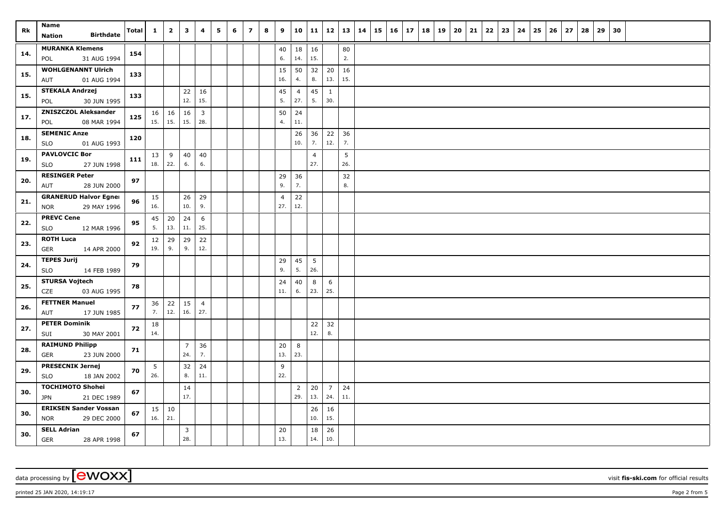| Rk  | Name                                            | <b>Total</b> | $\mathbf{1}$ | $\overline{2}$ | $\mathbf{3}$          | 4              | 5 | 6 | $\overline{z}$ | 8 | 9                     | 10             | 11             | 12             | 13 14     | 15 | $16 \mid 17$ | 18 | 19 | 20 | 21 | 22 | 23 | 24 | 25 | 26 | 27 | 28 | 29 | 30 |  |  |
|-----|-------------------------------------------------|--------------|--------------|----------------|-----------------------|----------------|---|---|----------------|---|-----------------------|----------------|----------------|----------------|-----------|----|--------------|----|----|----|----|----|----|----|----|----|----|----|----|----|--|--|
|     | <b>Birthdate</b><br>Nation                      |              |              |                |                       |                |   |   |                |   |                       |                |                |                |           |    |              |    |    |    |    |    |    |    |    |    |    |    |    |    |  |  |
| 14. | <b>MURANKA Klemens</b>                          | 154          |              |                |                       |                |   |   |                |   | 40                    | 18             | 16             |                | 80        |    |              |    |    |    |    |    |    |    |    |    |    |    |    |    |  |  |
|     | 31 AUG 1994<br>POL<br><b>WOHLGENANNT Ulrich</b> |              |              |                |                       |                |   |   |                |   | 6.                    | 14.            | 15.            |                | 2.        |    |              |    |    |    |    |    |    |    |    |    |    |    |    |    |  |  |
| 15. | 01 AUG 1994<br>AUT                              | 133          |              |                |                       |                |   |   |                |   | 15<br>16.             | 50<br>4.       | 32<br>8.       | 20<br>13.      | 16<br>15. |    |              |    |    |    |    |    |    |    |    |    |    |    |    |    |  |  |
|     | <b>STEKALA Andrzej</b>                          |              |              |                | 22                    | 16             |   |   |                |   | $45\,$                | $\overline{4}$ | 45             | $\mathbf{1}$   |           |    |              |    |    |    |    |    |    |    |    |    |    |    |    |    |  |  |
| 15. | 30 JUN 1995<br>POL                              | 133          |              |                | 12.                   | 15.            |   |   |                |   | 5.                    | 27.            | 5.             | 30.            |           |    |              |    |    |    |    |    |    |    |    |    |    |    |    |    |  |  |
| 17. | <b>ZNISZCZOL Aleksander</b>                     | 125          | 16           | 16             | 16                    | $\overline{3}$ |   |   |                |   | 50                    | 24             |                |                |           |    |              |    |    |    |    |    |    |    |    |    |    |    |    |    |  |  |
|     | 08 MAR 1994<br>POL                              |              | 15.          | 15.            | 15.                   | 28.            |   |   |                |   | 4.                    | 11.            |                |                |           |    |              |    |    |    |    |    |    |    |    |    |    |    |    |    |  |  |
| 18. | <b>SEMENIC Anze</b>                             | 120          |              |                |                       |                |   |   |                |   |                       | 26             | 36             | 22             | 36        |    |              |    |    |    |    |    |    |    |    |    |    |    |    |    |  |  |
|     | 01 AUG 1993<br><b>SLO</b>                       |              |              |                |                       |                |   |   |                |   |                       | 10.            | 7.             | 12.            | 7.        |    |              |    |    |    |    |    |    |    |    |    |    |    |    |    |  |  |
| 19. | <b>PAVLOVCIC Bor</b>                            | 111          | 13           | 9              | 40                    | 40             |   |   |                |   |                       |                | $\overline{4}$ |                | 5         |    |              |    |    |    |    |    |    |    |    |    |    |    |    |    |  |  |
|     | 27 JUN 1998<br><b>SLO</b>                       |              | 18.          | 22.            | 6.                    | 6.             |   |   |                |   |                       |                | 27.            |                | 26.       |    |              |    |    |    |    |    |    |    |    |    |    |    |    |    |  |  |
| 20. | <b>RESINGER Peter</b>                           | 97           |              |                |                       |                |   |   |                |   | 29                    | 36             |                |                | 32        |    |              |    |    |    |    |    |    |    |    |    |    |    |    |    |  |  |
|     | AUT<br>28 JUN 2000                              |              |              |                |                       |                |   |   |                |   | 9.                    | 7.             |                |                | 8.        |    |              |    |    |    |    |    |    |    |    |    |    |    |    |    |  |  |
| 21. | <b>GRANERUD Halvor Egner</b>                    | 96           | 15<br>16.    |                | 26<br>10.             | 29<br>9.       |   |   |                |   | $\overline{4}$<br>27. | 22<br>12.      |                |                |           |    |              |    |    |    |    |    |    |    |    |    |    |    |    |    |  |  |
|     | 29 MAY 1996<br><b>NOR</b><br><b>PREVC Cene</b>  |              |              |                |                       |                |   |   |                |   |                       |                |                |                |           |    |              |    |    |    |    |    |    |    |    |    |    |    |    |    |  |  |
| 22. | <b>SLO</b><br>12 MAR 1996                       | 95           | 45<br>5.     | 20<br>13.      | 24<br>11.             | 6<br>25.       |   |   |                |   |                       |                |                |                |           |    |              |    |    |    |    |    |    |    |    |    |    |    |    |    |  |  |
|     | <b>ROTH Luca</b>                                |              | 12           | 29             | 29                    | 22             |   |   |                |   |                       |                |                |                |           |    |              |    |    |    |    |    |    |    |    |    |    |    |    |    |  |  |
| 23. | GER<br>14 APR 2000                              | 92           | 19.          | 9.             | 9.                    | 12.            |   |   |                |   |                       |                |                |                |           |    |              |    |    |    |    |    |    |    |    |    |    |    |    |    |  |  |
|     | <b>TEPES Jurij</b>                              |              |              |                |                       |                |   |   |                |   | 29                    | 45             | 5              |                |           |    |              |    |    |    |    |    |    |    |    |    |    |    |    |    |  |  |
| 24. | <b>SLO</b><br>14 FEB 1989                       | 79           |              |                |                       |                |   |   |                |   | 9.                    | 5.             | 26.            |                |           |    |              |    |    |    |    |    |    |    |    |    |    |    |    |    |  |  |
| 25. | <b>STURSA Vojtech</b>                           | 78           |              |                |                       |                |   |   |                |   | 24                    | 40             | 8              | 6              |           |    |              |    |    |    |    |    |    |    |    |    |    |    |    |    |  |  |
|     | CZE<br>03 AUG 1995                              |              |              |                |                       |                |   |   |                |   | 11.                   | 6.             | 23.            | 25.            |           |    |              |    |    |    |    |    |    |    |    |    |    |    |    |    |  |  |
| 26. | <b>FETTNER Manuel</b>                           | 77           | 36           | 22             | 15                    | $\overline{4}$ |   |   |                |   |                       |                |                |                |           |    |              |    |    |    |    |    |    |    |    |    |    |    |    |    |  |  |
|     | AUT<br>17 JUN 1985                              |              | 7.           | 12.            | 16.                   | 27.            |   |   |                |   |                       |                |                |                |           |    |              |    |    |    |    |    |    |    |    |    |    |    |    |    |  |  |
| 27. | <b>PETER Dominik</b>                            | 72           | 18           |                |                       |                |   |   |                |   |                       |                | 22             | 32             |           |    |              |    |    |    |    |    |    |    |    |    |    |    |    |    |  |  |
|     | SUI<br>30 MAY 2001                              |              | 14.          |                |                       |                |   |   |                |   |                       |                | 12.            | 8.             |           |    |              |    |    |    |    |    |    |    |    |    |    |    |    |    |  |  |
| 28. | <b>RAIMUND Philipp</b><br>23 JUN 2000<br>GER    | 71           |              |                | $\overline{7}$<br>24. | 36<br>7.       |   |   |                |   | 20<br>13.             | 8<br>23.       |                |                |           |    |              |    |    |    |    |    |    |    |    |    |    |    |    |    |  |  |
|     | <b>PRESECNIK Jernej</b>                         |              |              |                |                       | 24             |   |   |                |   |                       |                |                |                |           |    |              |    |    |    |    |    |    |    |    |    |    |    |    |    |  |  |
| 29. | 18 JAN 2002<br><b>SLO</b>                       | 70           | 5<br>26.     |                | 32<br>8.              | 11.            |   |   |                |   | 9<br>22.              |                |                |                |           |    |              |    |    |    |    |    |    |    |    |    |    |    |    |    |  |  |
|     | <b>TOCHIMOTO Shohei</b>                         |              |              |                | 14                    |                |   |   |                |   |                       | $\overline{2}$ | 20             | $\overline{7}$ | 24        |    |              |    |    |    |    |    |    |    |    |    |    |    |    |    |  |  |
| 30. | 21 DEC 1989<br><b>JPN</b>                       | 67           |              |                | 17.                   |                |   |   |                |   |                       | 29.            | 13.            | 24.            | 11.       |    |              |    |    |    |    |    |    |    |    |    |    |    |    |    |  |  |
|     | <b>ERIKSEN Sander Vossan</b>                    |              |              | $15 \mid 10$   |                       |                |   |   |                |   |                       |                | 26             | 16             |           |    |              |    |    |    |    |    |    |    |    |    |    |    |    |    |  |  |
| 30. | <b>NOR</b><br>29 DEC 2000                       | 67           | 16.          | 21.            |                       |                |   |   |                |   |                       |                | 10.            | 15.            |           |    |              |    |    |    |    |    |    |    |    |    |    |    |    |    |  |  |
| 30. | <b>SELL Adrian</b>                              | 67           |              |                | $\overline{3}$        |                |   |   |                |   | 20                    |                | 18             | 26             |           |    |              |    |    |    |    |    |    |    |    |    |    |    |    |    |  |  |
|     | <b>GER</b><br>28 APR 1998                       |              |              |                | 28.                   |                |   |   |                |   | 13.                   |                | 14.            | 10.            |           |    |              |    |    |    |    |    |    |    |    |    |    |    |    |    |  |  |

data processing by **CWOXX** visit **fis-ski.com** for official results

printed 25 JAN 2020, 14:19:17 **Page 2** from 5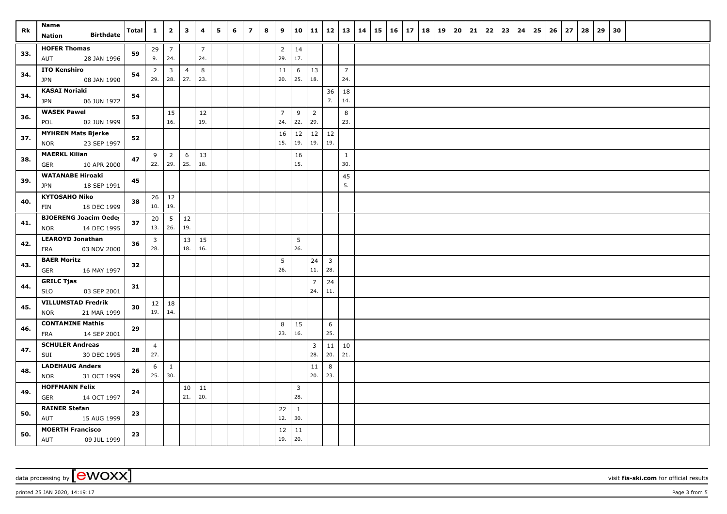| Rk  | Name                                                   | Total | $\mathbf{1}$            | $\overline{\mathbf{2}}$ | $\overline{\mathbf{3}}$ | 4                     | 5 | 6 | $\overline{z}$ | 8 | 9                     | 10                  | 11                    | 12                      | 13             | 14 | $15 \mid 16 \mid$ | 17 | 18 | 19 | 20 | 21 | 22 | 23 | 24 | 25 | 26 | $\overline{27}$ | 28 | 29 | 30 |  |  |
|-----|--------------------------------------------------------|-------|-------------------------|-------------------------|-------------------------|-----------------------|---|---|----------------|---|-----------------------|---------------------|-----------------------|-------------------------|----------------|----|-------------------|----|----|----|----|----|----|----|----|----|----|-----------------|----|----|----|--|--|
|     | <b>Birthdate</b><br><b>Nation</b>                      |       |                         |                         |                         |                       |   |   |                |   |                       |                     |                       |                         |                |    |                   |    |    |    |    |    |    |    |    |    |    |                 |    |    |    |  |  |
| 33. | <b>HOFER Thomas</b><br>28 JAN 1996<br>AUT              | 59    | 29<br>9.                | $\overline{7}$<br>24.   |                         | $\overline{7}$<br>24. |   |   |                |   | $\overline{2}$<br>29. | 14<br>17.           |                       |                         |                |    |                   |    |    |    |    |    |    |    |    |    |    |                 |    |    |    |  |  |
|     | <b>ITO Kenshiro</b>                                    |       | $\overline{2}$          | $\overline{3}$          | $\overline{4}$          | 8                     |   |   |                |   | 11                    | 6                   | 13                    |                         | $\overline{7}$ |    |                   |    |    |    |    |    |    |    |    |    |    |                 |    |    |    |  |  |
| 34. | 08 JAN 1990<br>JPN                                     | 54    | 29.                     | 28.                     | 27.                     | 23.                   |   |   |                |   | 20.                   | 25.                 | 18.                   |                         | 24.            |    |                   |    |    |    |    |    |    |    |    |    |    |                 |    |    |    |  |  |
| 34. | <b>KASAI Noriaki</b>                                   | 54    |                         |                         |                         |                       |   |   |                |   |                       |                     |                       | 36                      | 18             |    |                   |    |    |    |    |    |    |    |    |    |    |                 |    |    |    |  |  |
|     | 06 JUN 1972<br>JPN                                     |       |                         |                         |                         |                       |   |   |                |   |                       |                     |                       | 7.                      | 14.            |    |                   |    |    |    |    |    |    |    |    |    |    |                 |    |    |    |  |  |
| 36. | <b>WASEK Pawel</b><br>02 JUN 1999<br>POL               | 53    |                         | 15<br>16.               |                         | 12<br>19.             |   |   |                |   | $\overline{7}$<br>24. | 9<br>22.            | $\overline{2}$<br>29. |                         | 8<br>23.       |    |                   |    |    |    |    |    |    |    |    |    |    |                 |    |    |    |  |  |
|     |                                                        |       |                         |                         |                         |                       |   |   |                |   |                       |                     |                       |                         |                |    |                   |    |    |    |    |    |    |    |    |    |    |                 |    |    |    |  |  |
| 37. | <b>MYHREN Mats Bjerke</b><br>23 SEP 1997<br><b>NOR</b> | 52    |                         |                         |                         |                       |   |   |                |   | 16<br>15.             | 12<br>19.           | 12<br>19.             | 12<br>19.               |                |    |                   |    |    |    |    |    |    |    |    |    |    |                 |    |    |    |  |  |
| 38. | <b>MAERKL Kilian</b>                                   | 47    | 9                       | $\overline{2}$          | 6                       | 13                    |   |   |                |   |                       | 16                  |                       |                         | $\mathbf{1}$   |    |                   |    |    |    |    |    |    |    |    |    |    |                 |    |    |    |  |  |
|     | <b>GER</b><br>10 APR 2000                              |       |                         | 22.   29.               | 25.                     | 18.                   |   |   |                |   |                       | 15.                 |                       |                         | 30.            |    |                   |    |    |    |    |    |    |    |    |    |    |                 |    |    |    |  |  |
| 39. | <b>WATANABE Hiroaki</b><br>18 SEP 1991<br><b>JPN</b>   | 45    |                         |                         |                         |                       |   |   |                |   |                       |                     |                       |                         | 45<br>5.       |    |                   |    |    |    |    |    |    |    |    |    |    |                 |    |    |    |  |  |
|     | <b>KYTOSAHO Niko</b>                                   |       |                         | $26 \mid 12$            |                         |                       |   |   |                |   |                       |                     |                       |                         |                |    |                   |    |    |    |    |    |    |    |    |    |    |                 |    |    |    |  |  |
| 40. | 18 DEC 1999<br>FIN                                     | 38    | 10.                     | 19.                     |                         |                       |   |   |                |   |                       |                     |                       |                         |                |    |                   |    |    |    |    |    |    |    |    |    |    |                 |    |    |    |  |  |
|     | <b>BJOERENG Joacim Oeder</b>                           |       | 20                      | 5                       | 12                      |                       |   |   |                |   |                       |                     |                       |                         |                |    |                   |    |    |    |    |    |    |    |    |    |    |                 |    |    |    |  |  |
| 41. | 14 DEC 1995<br><b>NOR</b>                              | 37    | 13.   26.               |                         | 19.                     |                       |   |   |                |   |                       |                     |                       |                         |                |    |                   |    |    |    |    |    |    |    |    |    |    |                 |    |    |    |  |  |
| 42. | <b>LEAROYD Jonathan</b>                                | 36    | $\overline{\mathbf{3}}$ |                         | 13                      | 15                    |   |   |                |   |                       | 5                   |                       |                         |                |    |                   |    |    |    |    |    |    |    |    |    |    |                 |    |    |    |  |  |
|     | 03 NOV 2000<br>FRA                                     |       | 28.                     |                         | 18.                     | 16.                   |   |   |                |   |                       | 26.                 |                       |                         |                |    |                   |    |    |    |    |    |    |    |    |    |    |                 |    |    |    |  |  |
| 43. | <b>BAER Moritz</b>                                     | 32    |                         |                         |                         |                       |   |   |                |   | 5                     |                     | 24                    | $\overline{\mathbf{3}}$ |                |    |                   |    |    |    |    |    |    |    |    |    |    |                 |    |    |    |  |  |
|     | <b>GER</b><br>16 MAY 1997                              |       |                         |                         |                         |                       |   |   |                |   | 26.                   |                     | 11.                   | 28.                     |                |    |                   |    |    |    |    |    |    |    |    |    |    |                 |    |    |    |  |  |
| 44. | <b>GRILC Tjas</b>                                      | 31    |                         |                         |                         |                       |   |   |                |   |                       |                     | $\overline{7}$        | 24<br>11.               |                |    |                   |    |    |    |    |    |    |    |    |    |    |                 |    |    |    |  |  |
|     | 03 SEP 2001<br><b>SLO</b>                              |       |                         |                         |                         |                       |   |   |                |   |                       |                     | 24.                   |                         |                |    |                   |    |    |    |    |    |    |    |    |    |    |                 |    |    |    |  |  |
| 45. | <b>VILLUMSTAD Fredrik</b><br>21 MAR 1999<br><b>NOR</b> | 30    | $12 \mid 18$<br>19.     | 14.                     |                         |                       |   |   |                |   |                       |                     |                       |                         |                |    |                   |    |    |    |    |    |    |    |    |    |    |                 |    |    |    |  |  |
|     | <b>CONTAMINE Mathis</b>                                |       |                         |                         |                         |                       |   |   |                |   | 8                     | 15                  |                       | 6                       |                |    |                   |    |    |    |    |    |    |    |    |    |    |                 |    |    |    |  |  |
| 46. | 14 SEP 2001<br>FRA                                     | 29    |                         |                         |                         |                       |   |   |                |   | 23.                   | 16.                 |                       | 25.                     |                |    |                   |    |    |    |    |    |    |    |    |    |    |                 |    |    |    |  |  |
| 47. | <b>SCHULER Andreas</b>                                 | 28    | $\overline{4}$          |                         |                         |                       |   |   |                |   |                       |                     | 3                     | 11                      | 10             |    |                   |    |    |    |    |    |    |    |    |    |    |                 |    |    |    |  |  |
|     | 30 DEC 1995<br>SUI                                     |       | 27.                     |                         |                         |                       |   |   |                |   |                       |                     | 28.                   | 20.                     | 21.            |    |                   |    |    |    |    |    |    |    |    |    |    |                 |    |    |    |  |  |
| 48. | <b>LADEHAUG Anders</b>                                 | 26    | 6                       | <sup>1</sup>            |                         |                       |   |   |                |   |                       |                     | 11                    | 8                       |                |    |                   |    |    |    |    |    |    |    |    |    |    |                 |    |    |    |  |  |
|     | 31 OCT 1999<br><b>NOR</b>                              |       | 25.   30.               |                         |                         |                       |   |   |                |   |                       |                     | 20.                   | 23.                     |                |    |                   |    |    |    |    |    |    |    |    |    |    |                 |    |    |    |  |  |
| 49. | <b>HOFFMANN Felix</b>                                  | 24    |                         |                         | 10                      | 11                    |   |   |                |   |                       | 3                   |                       |                         |                |    |                   |    |    |    |    |    |    |    |    |    |    |                 |    |    |    |  |  |
|     | <b>GER</b><br>14 OCT 1997                              |       |                         |                         | 21.                     | 20.                   |   |   |                |   |                       | 28.                 |                       |                         |                |    |                   |    |    |    |    |    |    |    |    |    |    |                 |    |    |    |  |  |
| 50. | <b>RAINER Stefan</b><br>AUT<br>15 AUG 1999             | 23    |                         |                         |                         |                       |   |   |                |   | 22<br>12.             | $\mathbf{1}$<br>30. |                       |                         |                |    |                   |    |    |    |    |    |    |    |    |    |    |                 |    |    |    |  |  |
|     | <b>MOERTH Francisco</b>                                |       |                         |                         |                         |                       |   |   |                |   | 12                    | 11                  |                       |                         |                |    |                   |    |    |    |    |    |    |    |    |    |    |                 |    |    |    |  |  |
| 50. | AUT<br>09 JUL 1999                                     | 23    |                         |                         |                         |                       |   |   |                |   | 19.                   | 20.                 |                       |                         |                |    |                   |    |    |    |    |    |    |    |    |    |    |                 |    |    |    |  |  |

data processing by **CWOXX** visit **fis-ski.com** for official results

printed 25 JAN 2020, 14:19:17 **Page 3** from 5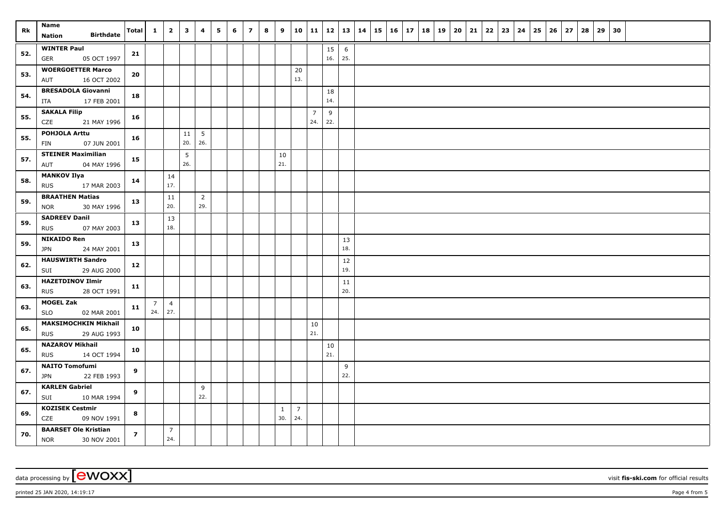| Rk  | Name<br><b>Birthdate</b><br><b>Nation</b>                | Total          | $\mathbf{1}$          | $\overline{\mathbf{2}}$ | $\mathbf{3}$ | 4              | 5 | 6 | $\overline{z}$ | 8 | 9            |                |                | $10$   11   12   13   14 |                        |  | $15 \mid 16 \mid 17$ |  | 18   19 | 20 | 21 | 22 | $23 \mid 24$ | 25 | 26 | 27 | 28 | 29 | 30 |  |  |
|-----|----------------------------------------------------------|----------------|-----------------------|-------------------------|--------------|----------------|---|---|----------------|---|--------------|----------------|----------------|--------------------------|------------------------|--|----------------------|--|---------|----|----|----|--------------|----|----|----|----|----|----|--|--|
|     | <b>WINTER Paul</b>                                       |                |                       |                         |              |                |   |   |                |   |              |                |                | 15                       |                        |  |                      |  |         |    |    |    |              |    |    |    |    |    |    |  |  |
| 52. | 05 OCT 1997<br>GER                                       | 21             |                       |                         |              |                |   |   |                |   |              |                |                | 16.                      | $6\phantom{.}6$<br>25. |  |                      |  |         |    |    |    |              |    |    |    |    |    |    |  |  |
|     | <b>WOERGOETTER Marco</b>                                 |                |                       |                         |              |                |   |   |                |   |              | 20             |                |                          |                        |  |                      |  |         |    |    |    |              |    |    |    |    |    |    |  |  |
| 53. | 16 OCT 2002<br>AUT                                       | 20             |                       |                         |              |                |   |   |                |   |              | 13.            |                |                          |                        |  |                      |  |         |    |    |    |              |    |    |    |    |    |    |  |  |
| 54. | <b>BRESADOLA Giovanni</b><br>ITA<br>17 FEB 2001          | 18             |                       |                         |              |                |   |   |                |   |              |                |                | 18<br>14.                |                        |  |                      |  |         |    |    |    |              |    |    |    |    |    |    |  |  |
|     | <b>SAKALA Filip</b>                                      |                |                       |                         |              |                |   |   |                |   |              |                | $\overline{7}$ | 9                        |                        |  |                      |  |         |    |    |    |              |    |    |    |    |    |    |  |  |
| 55. | CZE<br>21 MAY 1996                                       | 16             |                       |                         |              |                |   |   |                |   |              |                | 24.            | 22.                      |                        |  |                      |  |         |    |    |    |              |    |    |    |    |    |    |  |  |
| 55. | <b>POHJOLA Arttu</b>                                     | 16             |                       |                         | 11           | 5              |   |   |                |   |              |                |                |                          |                        |  |                      |  |         |    |    |    |              |    |    |    |    |    |    |  |  |
|     | 07 JUN 2001<br>FIN                                       |                |                       |                         | 20.          | 26.            |   |   |                |   |              |                |                |                          |                        |  |                      |  |         |    |    |    |              |    |    |    |    |    |    |  |  |
| 57. | <b>STEINER Maximilian</b><br>04 MAY 1996<br>AUT          | 15             |                       |                         | 5<br>26.     |                |   |   |                |   | 10<br>21.    |                |                |                          |                        |  |                      |  |         |    |    |    |              |    |    |    |    |    |    |  |  |
|     | <b>MANKOV Ilya</b>                                       |                |                       | 14                      |              |                |   |   |                |   |              |                |                |                          |                        |  |                      |  |         |    |    |    |              |    |    |    |    |    |    |  |  |
| 58. | <b>RUS</b><br>17 MAR 2003                                | 14             |                       | 17.                     |              |                |   |   |                |   |              |                |                |                          |                        |  |                      |  |         |    |    |    |              |    |    |    |    |    |    |  |  |
| 59. | <b>BRAATHEN Matias</b>                                   | 13             |                       | $11\,$                  |              | $\overline{2}$ |   |   |                |   |              |                |                |                          |                        |  |                      |  |         |    |    |    |              |    |    |    |    |    |    |  |  |
|     | 30 MAY 1996<br><b>NOR</b>                                |                |                       | 20.                     |              | 29.            |   |   |                |   |              |                |                |                          |                        |  |                      |  |         |    |    |    |              |    |    |    |    |    |    |  |  |
| 59. | <b>SADREEV Danil</b>                                     | 13             |                       | 13                      |              |                |   |   |                |   |              |                |                |                          |                        |  |                      |  |         |    |    |    |              |    |    |    |    |    |    |  |  |
|     | <b>RUS</b><br>07 MAY 2003                                |                |                       | 18.                     |              |                |   |   |                |   |              |                |                |                          |                        |  |                      |  |         |    |    |    |              |    |    |    |    |    |    |  |  |
| 59. | <b>NIKAIDO Ren</b><br><b>JPN</b><br>24 MAY 2001          | 13             |                       |                         |              |                |   |   |                |   |              |                |                |                          | 13<br>18.              |  |                      |  |         |    |    |    |              |    |    |    |    |    |    |  |  |
| 62. | <b>HAUSWIRTH Sandro</b>                                  | 12             |                       |                         |              |                |   |   |                |   |              |                |                |                          | 12                     |  |                      |  |         |    |    |    |              |    |    |    |    |    |    |  |  |
|     | SUI<br>29 AUG 2000                                       |                |                       |                         |              |                |   |   |                |   |              |                |                |                          | 19.                    |  |                      |  |         |    |    |    |              |    |    |    |    |    |    |  |  |
| 63. | <b>HAZETDINOV Ilmir</b>                                  | 11             |                       |                         |              |                |   |   |                |   |              |                |                |                          | 11                     |  |                      |  |         |    |    |    |              |    |    |    |    |    |    |  |  |
|     | <b>RUS</b><br>28 OCT 1991                                |                |                       |                         |              |                |   |   |                |   |              |                |                |                          | 20.                    |  |                      |  |         |    |    |    |              |    |    |    |    |    |    |  |  |
| 63. | <b>MOGEL Zak</b><br><b>SLO</b><br>02 MAR 2001            | 11             | $\overline{7}$<br>24. | $\overline{4}$<br>27.   |              |                |   |   |                |   |              |                |                |                          |                        |  |                      |  |         |    |    |    |              |    |    |    |    |    |    |  |  |
|     | <b>MAKSIMOCHKIN Mikhail</b>                              |                |                       |                         |              |                |   |   |                |   |              |                | 10             |                          |                        |  |                      |  |         |    |    |    |              |    |    |    |    |    |    |  |  |
| 65. | 29 AUG 1993<br><b>RUS</b>                                | 10             |                       |                         |              |                |   |   |                |   |              |                | 21.            |                          |                        |  |                      |  |         |    |    |    |              |    |    |    |    |    |    |  |  |
| 65. | <b>NAZAROV Mikhail</b>                                   | 10             |                       |                         |              |                |   |   |                |   |              |                |                | $10\,$                   |                        |  |                      |  |         |    |    |    |              |    |    |    |    |    |    |  |  |
|     | 14 OCT 1994<br><b>RUS</b>                                |                |                       |                         |              |                |   |   |                |   |              |                |                | 21.                      |                        |  |                      |  |         |    |    |    |              |    |    |    |    |    |    |  |  |
| 67. | <b>NAITO Tomofumi</b><br><b>JPN</b><br>22 FEB 1993       | 9              |                       |                         |              |                |   |   |                |   |              |                |                |                          | 9<br>22.               |  |                      |  |         |    |    |    |              |    |    |    |    |    |    |  |  |
|     | <b>KARLEN Gabriel</b>                                    |                |                       |                         |              | 9              |   |   |                |   |              |                |                |                          |                        |  |                      |  |         |    |    |    |              |    |    |    |    |    |    |  |  |
| 67. | SUI<br>10 MAR 1994                                       | 9              |                       |                         |              | 22.            |   |   |                |   |              |                |                |                          |                        |  |                      |  |         |    |    |    |              |    |    |    |    |    |    |  |  |
| 69. | <b>KOZISEK Cestmir</b>                                   | 8              |                       |                         |              |                |   |   |                |   | $\mathbf{1}$ | $\overline{7}$ |                |                          |                        |  |                      |  |         |    |    |    |              |    |    |    |    |    |    |  |  |
|     | CZE<br>09 NOV 1991                                       |                |                       |                         |              |                |   |   |                |   | 30.          | 24.            |                |                          |                        |  |                      |  |         |    |    |    |              |    |    |    |    |    |    |  |  |
| 70. | <b>BAARSET Ole Kristian</b><br><b>NOR</b><br>30 NOV 2001 | $\overline{z}$ |                       | $\overline{7}$<br>24.   |              |                |   |   |                |   |              |                |                |                          |                        |  |                      |  |         |    |    |    |              |    |    |    |    |    |    |  |  |